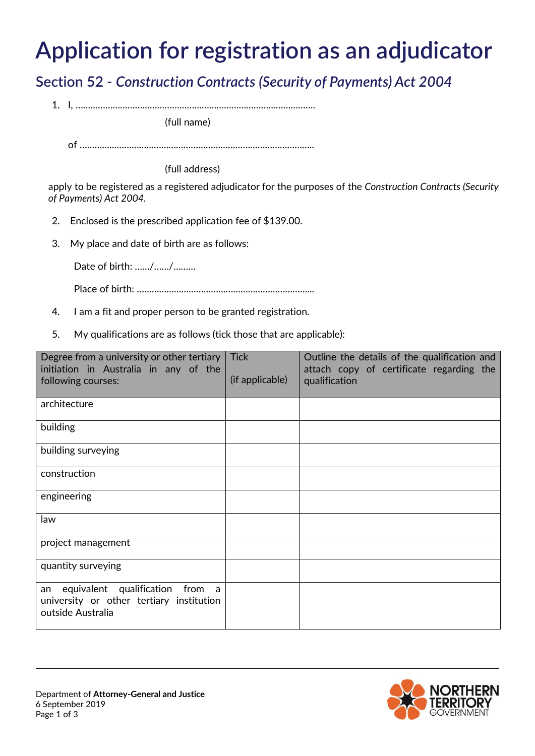# **Application for registration as an adjudicator**

# **Section 52 -** *Construction Contracts (Security of Payments) Act 2004*

1. I, …………………………………………………………………………………….

(full name)

of …………………………………………………………………………………..

(full address)

apply to be registered as a registered adjudicator for the purposes of the *Construction Contracts (Security of Payments) Act 2004.*

- 2. Enclosed is the prescribed application fee of \$139.00.
- 3. My place and date of birth are as follows:

Date of birth: ……/……/………

Place of birth: ……………………………………………………………...

- 4. I am a fit and proper person to be granted registration.
- 5. My qualifications are as follows (tick those that are applicable):

| Degree from a university or other tertiary<br>initiation in Australia in any of the                       | <b>Tick</b>     | Outline the details of the qualification and<br>attach copy of certificate regarding the |
|-----------------------------------------------------------------------------------------------------------|-----------------|------------------------------------------------------------------------------------------|
| following courses:                                                                                        | (if applicable) | qualification                                                                            |
| architecture                                                                                              |                 |                                                                                          |
| building                                                                                                  |                 |                                                                                          |
| building surveying                                                                                        |                 |                                                                                          |
| construction                                                                                              |                 |                                                                                          |
| engineering                                                                                               |                 |                                                                                          |
| law                                                                                                       |                 |                                                                                          |
| project management                                                                                        |                 |                                                                                          |
| quantity surveying                                                                                        |                 |                                                                                          |
| equivalent qualification<br>from a<br>an<br>university or other tertiary institution<br>outside Australia |                 |                                                                                          |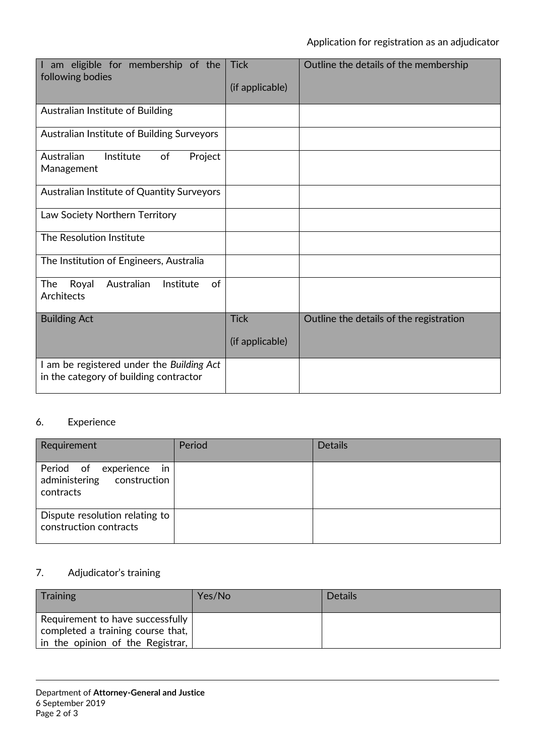| I am eligible for membership of the<br>following bodies                             | <b>Tick</b><br>(if applicable) | Outline the details of the membership   |
|-------------------------------------------------------------------------------------|--------------------------------|-----------------------------------------|
| Australian Institute of Building                                                    |                                |                                         |
| Australian Institute of Building Surveyors                                          |                                |                                         |
| Australian<br>Institute<br>of<br>Project<br>Management                              |                                |                                         |
| Australian Institute of Quantity Surveyors                                          |                                |                                         |
| Law Society Northern Territory                                                      |                                |                                         |
| The Resolution Institute                                                            |                                |                                         |
| The Institution of Engineers, Australia                                             |                                |                                         |
| The<br>Australian<br>Institute<br>Royal<br>of<br>Architects                         |                                |                                         |
| <b>Building Act</b>                                                                 | <b>Tick</b>                    | Outline the details of the registration |
|                                                                                     | (if applicable)                |                                         |
| I am be registered under the Building Act<br>in the category of building contractor |                                |                                         |

### 6. Experience

| Requirement                                                        | Period | <b>Details</b> |
|--------------------------------------------------------------------|--------|----------------|
| Period of experience in<br>administering construction<br>contracts |        |                |
| Dispute resolution relating to<br>construction contracts           |        |                |

## 7. Adjudicator's training

| Training                                                                                                  | Yes/No | <b>Details</b> |
|-----------------------------------------------------------------------------------------------------------|--------|----------------|
| Requirement to have successfully<br>completed a training course that,<br>in the opinion of the Registrar, |        |                |